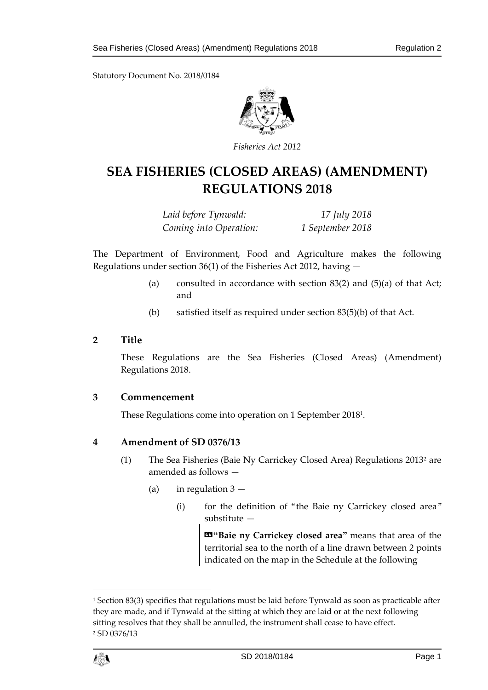Statutory Document No. 2018/0184



*Fisheries Act 2012*

# **SEA FISHERIES (CLOSED AREAS) (AMENDMENT) REGULATIONS 2018**

*Laid before Tynwald: 17 July 2018 Coming into Operation: 1 September 2018*

The Department of Environment, Food and Agriculture makes the following Regulations under section 36(1) of the Fisheries Act 2012, having —

- (a) consulted in accordance with section  $83(2)$  and  $(5)(a)$  of that Act; and
- (b) satisfied itself as required under section 83(5)(b) of that Act.

### **2 Title**

These Regulations are the Sea Fisheries (Closed Areas) (Amendment) Regulations 2018.

### **3 Commencement**

These Regulations come into operation on 1 September 2018<sup>1</sup> .

### **4 Amendment of SD 0376/13**

- (1) The Sea Fisheries (Baie Ny Carrickey Closed Area) Regulations 2013<sup>2</sup> are amended as follows —
	- (a) in regulation  $3 -$ 
		- (i) for the definition of "the Baie ny Carrickey closed area" substitute —

«**"Baie ny Carrickey closed area"** means that area of the territorial sea to the north of a line drawn between 2 points indicated on the map in the Schedule at the following

<sup>&</sup>lt;sup>1</sup> Section 83(3) specifies that regulations must be laid before Tynwald as soon as practicable after they are made, and if Tynwald at the sitting at which they are laid or at the next following sitting resolves that they shall be annulled, the instrument shall cease to have effect. <sup>2</sup> SD 0376/13



 $\overline{a}$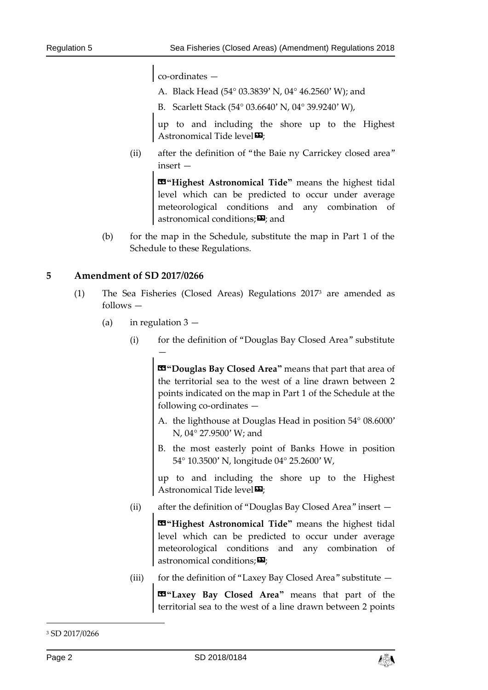co-ordinates —

- A. Black Head (54° 03.3839' N, 04° 46.2560' W); and
- B. Scarlett Stack (54° 03.6640' N, 04° 39.9240' W),

up to and including the shore up to the Highest Astronomical Tide level<sup>D</sup>;

(ii) after the definition of "the Baie ny Carrickey closed area" insert —

> **«"Highest Astronomical Tide"** means the highest tidal level which can be predicted to occur under average meteorological conditions and any combination of astronomical conditions; $\boldsymbol{\mathsf{\Xi}}$ ; and

(b) for the map in the Schedule, substitute the map in Part 1 of the Schedule to these Regulations.

#### **5 Amendment of SD 2017/0266**

- (1) The Sea Fisheries (Closed Areas) Regulations 2017<sup>3</sup> are amended as follows —
	- (a) in regulation  $3 -$

—

(i) for the definition of "Douglas Bay Closed Area" substitute

«**"Douglas Bay Closed Area"** means that part that area of the territorial sea to the west of a line drawn between 2 points indicated on the map in Part 1 of the Schedule at the following co-ordinates —

- A. the lighthouse at Douglas Head in position 54° 08.6000' N, 04° 27.9500' W; and
- B. the most easterly point of Banks Howe in position 54° 10.3500' N, longitude 04° 25.2600' W,

up to and including the shore up to the Highest Astronomical Tide level $\boldsymbol{\Xi}$ :

(ii) after the definition of "Douglas Bay Closed Area" insert —

**«"Highest Astronomical Tide"** means the highest tidal level which can be predicted to occur under average meteorological conditions and any combination of astronomical conditions: $\mathbf{E}$ 

(iii) for the definition of "Laxey Bay Closed Area" substitute —

«**"Laxey Bay Closed Area"** means that part of the territorial sea to the west of a line drawn between 2 points

-



<sup>3</sup> SD 2017/0266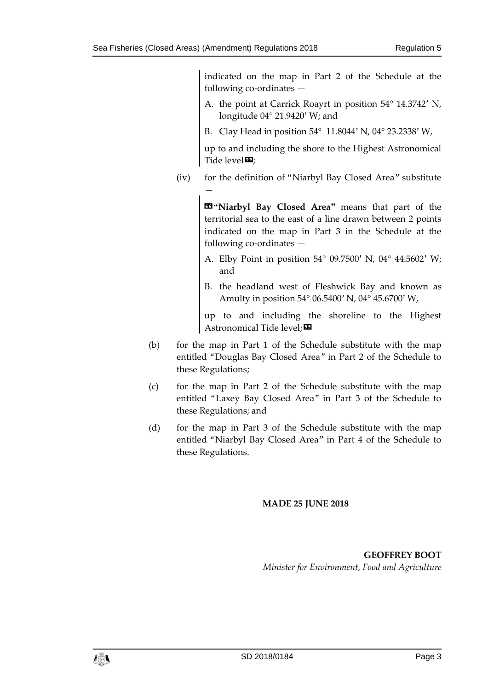indicated on the map in Part 2 of the Schedule at the following co-ordinates —

- A. the point at Carrick Roayrt in position 54° 14.3742' N, longitude 04° 21.9420' W; and
- B. Clay Head in position 54° 11.8044' N, 04° 23.2338' W,

up to and including the shore to the Highest Astronomical Tide level $\mathbf{E}$ ;

(iv) for the definition of "Niarbyl Bay Closed Area" substitute —

> «**"Niarbyl Bay Closed Area"** means that part of the territorial sea to the east of a line drawn between 2 points indicated on the map in Part 3 in the Schedule at the following co-ordinates —

- A. Elby Point in position 54° 09.7500' N, 04° 44.5602' W; and
- B. the headland west of Fleshwick Bay and known as Amulty in position 54° 06.5400' N, 04° 45.6700' W,

up to and including the shoreline to the Highest Astronomical Tide level;

- (b) for the map in Part 1 of the Schedule substitute with the map entitled "Douglas Bay Closed Area" in Part 2 of the Schedule to these Regulations;
- (c) for the map in Part 2 of the Schedule substitute with the map entitled "Laxey Bay Closed Area" in Part 3 of the Schedule to these Regulations; and
- (d) for the map in Part 3 of the Schedule substitute with the map entitled "Niarbyl Bay Closed Area" in Part 4 of the Schedule to these Regulations.

### **MADE 25 JUNE 2018**

**GEOFFREY BOOT** *Minister for Environment, Food and Agriculture*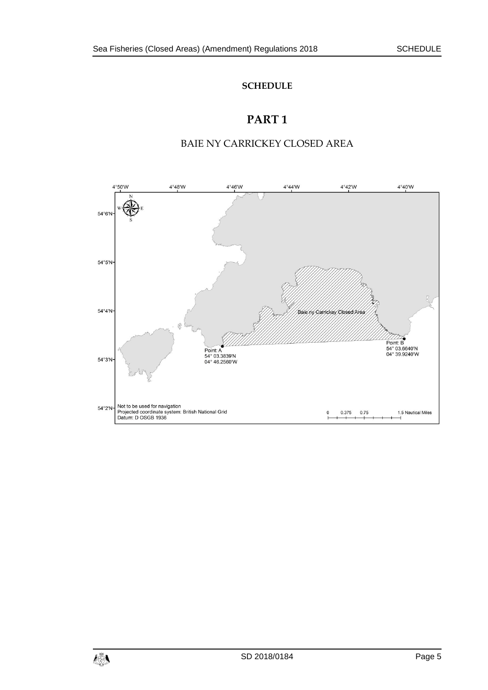#### **SCHEDULE**

## **PART 1**

## BAIE NY CARRICKEY CLOSED AREA

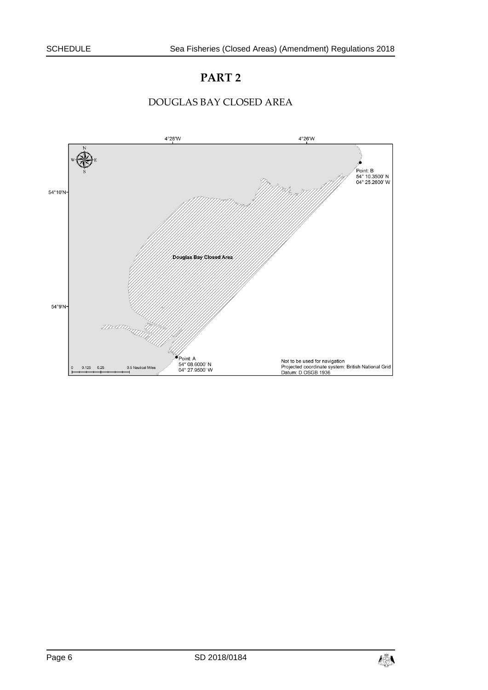## **PART 2**



#### DOUGLAS BAY CLOSED AREA

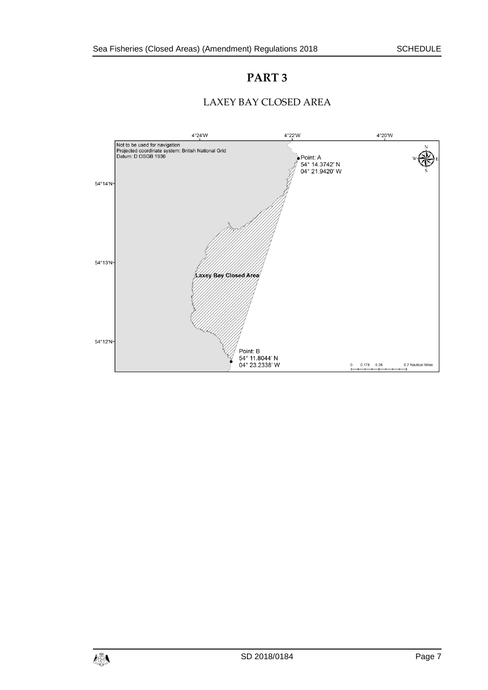## **PART 3**



Point: B<br>54° 11.8044' N<br>04° 23.2338' W

 $\overline{C}$ 

 $0.175$  0.35

0.7 Nautical Miles

## LAXEY BAY CLOSED AREA

54°12'N-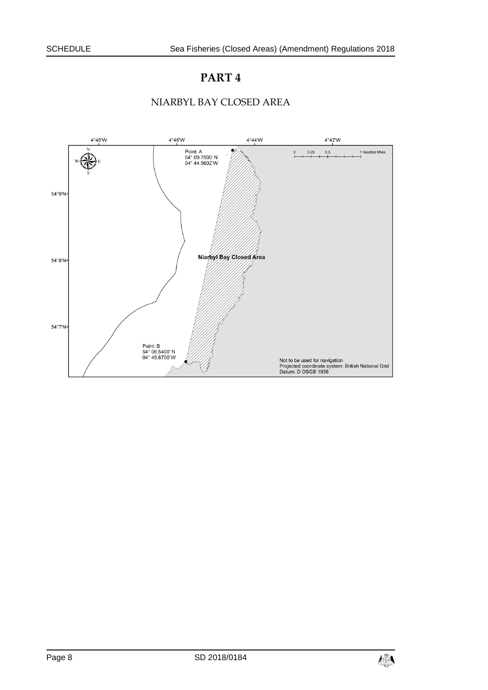## **PART 4**

### NIARBYL BAY CLOSED AREA